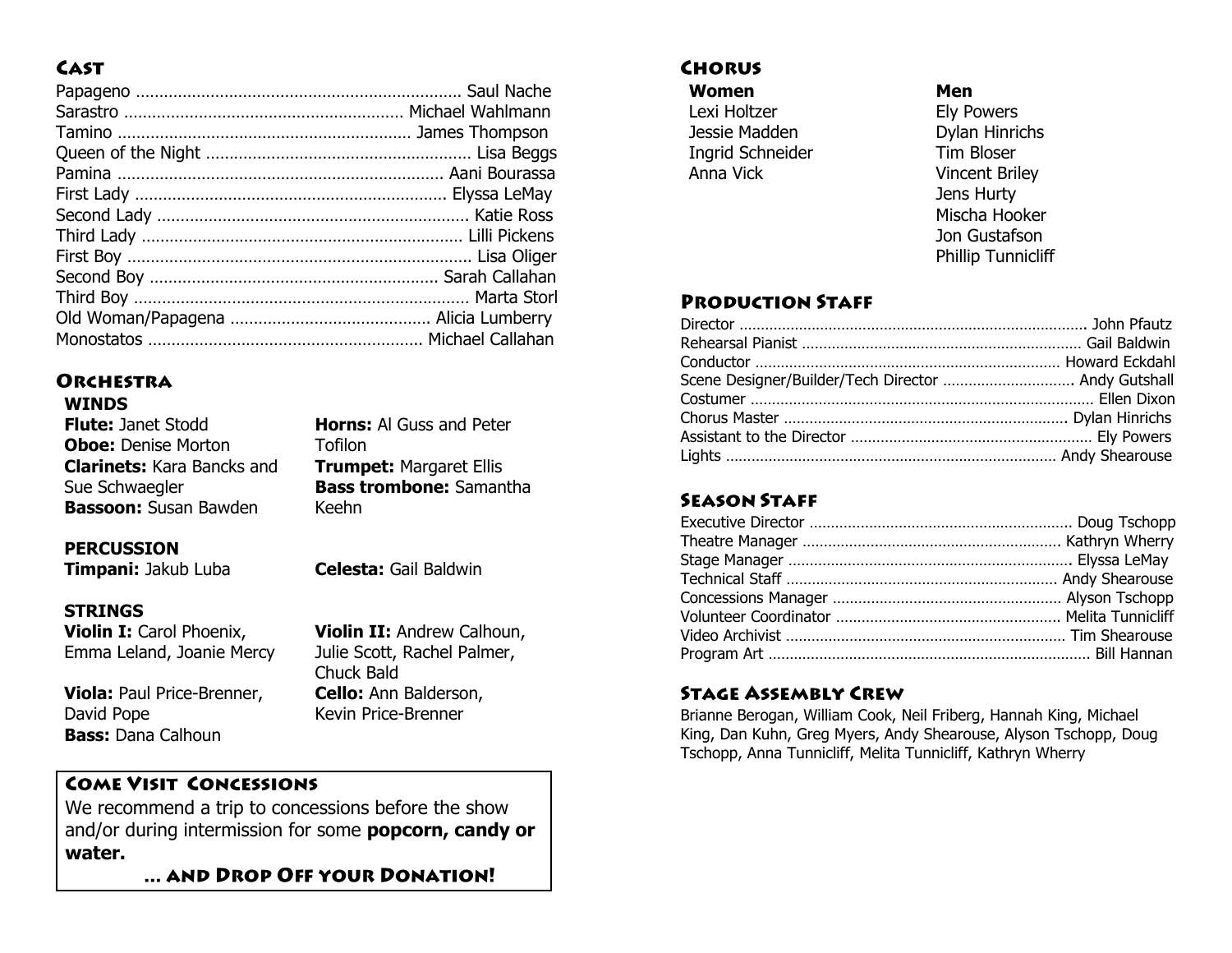# **CAST**

## **ORCHESTRA**

#### **WINDS**

| <b>Flute: Janet Stodd</b>         | <b>Horns:</b> Al Guss and Peter |
|-----------------------------------|---------------------------------|
| <b>Oboe: Denise Morton</b>        | Tofilon                         |
| <b>Clarinets:</b> Kara Bancks and | <b>Trumpet: Margaret Ellis</b>  |
| Sue Schwaegler                    | <b>Bass trombone: Samantha</b>  |
| <b>Bassoon:</b> Susan Bawden      | Keehn                           |
|                                   |                                 |

#### **PERCUSSION**

**Timpani:** Jakub Luba **Celesta:** Gail Baldwin

## **STRINGS**

**Violin I:** Carol Phoenix, Emma Leland, Joanie Mercy

**Viola:** Paul Price-Brenner, David Pope **Bass:** Dana Calhoun

**Violin II:** Andrew Calhoun, Julie Scott, Rachel Palmer, Chuck Bald **Cello:** Ann Balderson, Kevin Price-Brenner

## **COME VISIT CONCESSIONS**

We recommend a trip to concessions before the show and/or during intermission for some **popcorn, candy or water.**

... AND DROP OFF YOUR DONATION!

## **CHORUS**

**Women** Lexi Holtzer Jessie Madden Ingrid Schneider Anna Vick

#### **Men**

Ely Powers Dylan Hinrichs Tim Bloser Vincent Briley Jens Hurty Mischa Hooker Jon Gustafson Phillip Tunnicliff

## **PRODUCTION STAFF**

| Scene Designer/Builder/Tech Director  Andy Gutshall |  |
|-----------------------------------------------------|--|
|                                                     |  |
|                                                     |  |
|                                                     |  |
|                                                     |  |

## **SEASON STAFF**

## **STAGE ASSEMBLY CREW**

Brianne Berogan, William Cook, Neil Friberg, Hannah King, Michael King, Dan Kuhn, Greg Myers, Andy Shearouse, Alyson Tschopp, Doug Tschopp, Anna Tunnicliff, Melita Tunnicliff, Kathryn Wherry